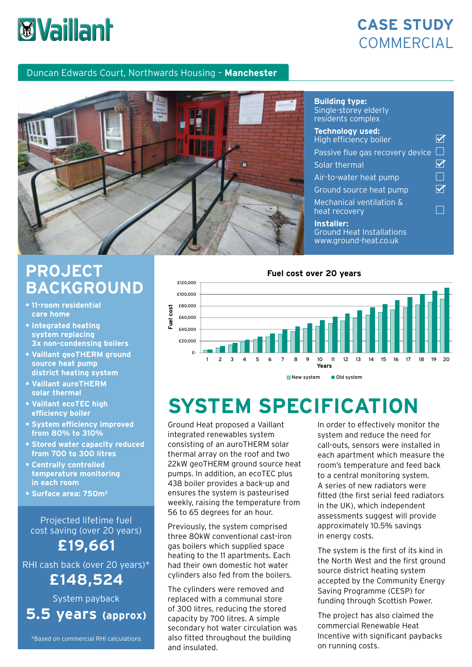# **Wy Vaillant**

## **CASE STUDY COMMERCIAL**

 $\overline{\mathsf{M}}$ 

 $\overline{\mathsf{M}}$  $\Box$  $\overline{\mathsf{M}}$ 

 $\Box$ 

#### Duncan Edwards Court, Northwards Housing – **Manchester**



#### **Building type:** Single-storey elderly residents complex **Technology used:** High efficiency boiler Passive flue gas recovery device  $\square$

Solar thermal

Air-to-water heat pump

Ground source heat pump

Mechanical ventilation & heat recovery

**Installer:** Ground Heat Installations www.ground-heat.co.uk

## **PROJECT BACKGROUND**

- **11-room residential care home**
- **Integrated heating system replacing 3x non-condensing boilers**
- **Vaillant geoTHERM ground source heat pump district heating system**
- **Vaillant auroTHERM solar thermal**
- **Vaillant ecoTEC high efficiency boiler**
- **System efficiency improved from 80% to 310%**
- **Stored water capacity reduced from 700 to 300 litres**
- **Centrally controlled temperature monitoring in each room**
- **Surface area: 750m2**

Projected lifetime fuel cost saving (over 20 years)

**£19,661**

RHI cash back (over 20 years)\*

**£148,524**

System payback **5.5 years (approx)**

\*Based on commercial RHI calculations



#### New system **Old system**

## **SYSTEM SPECIFICATION**

Ground Heat proposed a Vaillant integrated renewables system consisting of an auroTHERM solar thermal array on the roof and two 22kW geoTHERM ground source heat pumps. In addition, an ecoTEC plus 438 boiler provides a back-up and ensures the system is pasteurised weekly, raising the temperature from 56 to 65 degrees for an hour.

Previously, the system comprised three 80kW conventional cast-iron gas boilers which supplied space heating to the 11 apartments. Each had their own domestic hot water cylinders also fed from the boilers.

The cylinders were removed and replaced with a communal store of 300 litres, reducing the stored capacity by 700 litres. A simple secondary hot water circulation was also fitted throughout the building and insulated.

In order to effectively monitor the system and reduce the need for call-outs, sensors were installed in each apartment which measure the room's temperature and feed back to a central monitoring system. A series of new radiators were fitted (the first serial feed radiators in the UK), which independent assessments suggest will provide approximately 10.5% savings in energy costs.

The system is the first of its kind in the North West and the first ground source district heating system accepted by the Community Energy Saving Programme (CESP) for funding through Scottish Power.

The project has also claimed the commercial Renewable Heat Incentive with significant paybacks on running costs.